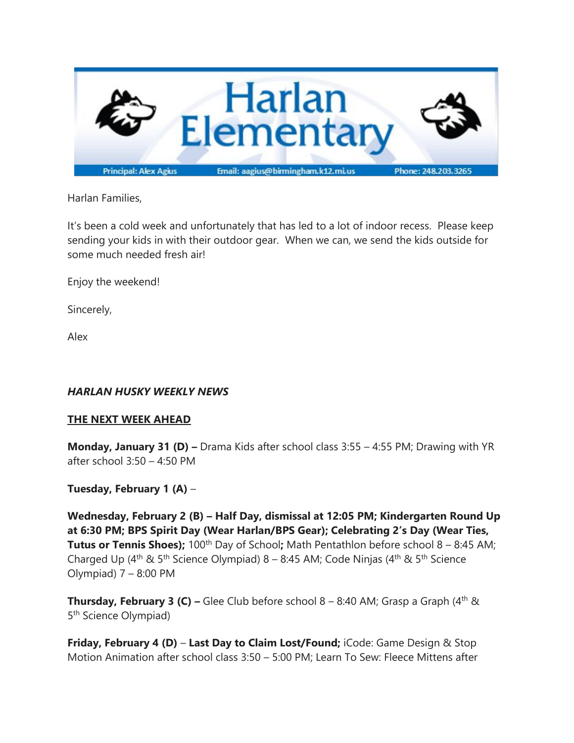

Harlan Families,

It's been a cold week and unfortunately that has led to a lot of indoor recess. Please keep sending your kids in with their outdoor gear. When we can, we send the kids outside for some much needed fresh air!

Enjoy the weekend!

Sincerely,

Alex

## *HARLAN HUSKY WEEKLY NEWS*

## **THE NEXT WEEK AHEAD**

**Monday, January 31 (D) –** Drama Kids after school class 3:55 – 4:55 PM; Drawing with YR after school 3:50 – 4:50 PM

## **Tuesday, February 1 (A)** –

**Wednesday, February 2 (B) – Half Day, dismissal at 12:05 PM; Kindergarten Round Up at 6:30 PM; BPS Spirit Day (Wear Harlan/BPS Gear); Celebrating 2's Day (Wear Ties, Tutus or Tennis Shoes);** 100<sup>th</sup> Day of School; Math Pentathlon before school 8 – 8:45 AM; Charged Up (4<sup>th</sup> & 5<sup>th</sup> Science Olympiad) 8 – 8:45 AM; Code Ninjas (4<sup>th</sup> & 5<sup>th</sup> Science Olympiad) 7 – 8:00 PM

**Thursday, February 3 (C) –** Glee Club before school 8 – 8:40 AM; Grasp a Graph (4<sup>th</sup> & 5<sup>th</sup> Science Olympiad)

**Friday, February 4 (D)** – **Last Day to Claim Lost/Found;** iCode: Game Design & Stop Motion Animation after school class 3:50 – 5:00 PM; Learn To Sew: Fleece Mittens after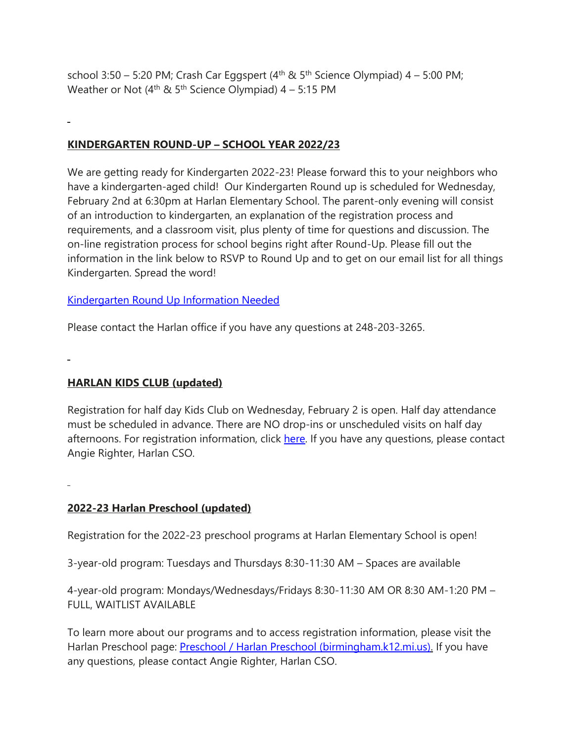school 3:50 – 5:20 PM; Crash Car Eggspert  $(4^{th} \& 5^{th}$  Science Olympiad)  $4 - 5:00$  PM; Weather or Not ( $4<sup>th</sup>$  &  $5<sup>th</sup>$  Science Olympiad) 4 – 5:15 PM

# **KINDERGARTEN ROUND-UP – SCHOOL YEAR 2022/23**

We are getting ready for Kindergarten 2022-23! Please forward this to your neighbors who have a kindergarten-aged child! Our Kindergarten Round up is scheduled for Wednesday, February 2nd at 6:30pm at Harlan Elementary School. The parent-only evening will consist of an introduction to kindergarten, an explanation of the registration process and requirements, and a classroom visit, plus plenty of time for questions and discussion. The on-line registration process for school begins right after Round-Up. Please fill out the information in the link below to RSVP to Round Up and to get on our email list for all things Kindergarten. Spread the word!

### [Kindergarten](https://docs.google.com/forms/d/e/1FAIpQLSfB_0ZXK0fHbkTFWeiMoQwhfXQU1Rno97WGfm5ngS52QjBzDA/viewform?usp=sf_link) Round Up Information Needed

Please contact the Harlan office if you have any questions at 248-203-3265.

## **HARLAN KIDS CLUB (updated)**

Registration for half day Kids Club on Wednesday, February 2 is open. Half day attendance must be scheduled in advance. There are NO drop-ins or unscheduled visits on half day afternoons. For registration information, click [here.](https://www.birmingham.k12.mi.us/cms/lib/MI01908619/Centricity/Domain/494/2021-2022%20KIDS%20CLUB%20registration%20instructions.pdf) If you have any questions, please contact Angie Righter, Harlan CSO.

## **2022-23 Harlan Preschool (updated)**

Registration for the 2022-23 preschool programs at Harlan Elementary School is open!

3-year-old program: Tuesdays and Thursdays 8:30-11:30 AM – Spaces are available

4-year-old program: Mondays/Wednesdays/Fridays 8:30-11:30 AM OR 8:30 AM-1:20 PM – FULL, WAITLIST AVAILABLE

To learn more about our programs and to access registration information, please visit the Harlan Preschool page: Preschool / Harlan Preschool [\(birmingham.k12.mi.us\).](https://www.birmingham.k12.mi.us/Harlanpreschool) If you have any questions, please contact Angie Righter, Harlan CSO.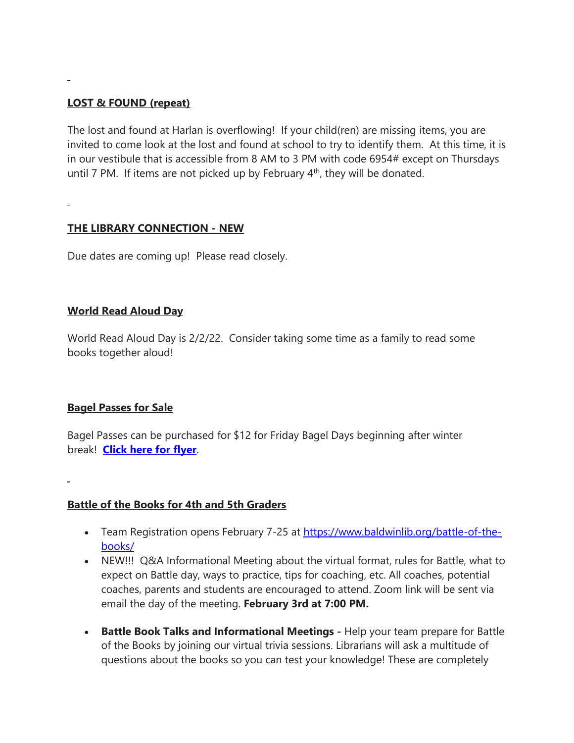### **LOST & FOUND (repeat)**

The lost and found at Harlan is overflowing! If your child(ren) are missing items, you are invited to come look at the lost and found at school to try to identify them. At this time, it is in our vestibule that is accessible from 8 AM to 3 PM with code 6954# except on Thursdays until 7 PM. If items are not picked up by February  $4<sup>th</sup>$ , they will be donated.

### **THE LIBRARY CONNECTION - NEW**

Due dates are coming up! Please read closely.

### **World Read Aloud Day**

World Read Aloud Day is 2/2/22. Consider taking some time as a family to read some books together aloud!

#### **Bagel Passes for Sale**

Bagel Passes can be purchased for \$12 for Friday Bagel Days beginning after winter break! **[Click](https://drive.google.com/file/d/12cGMCSHgEAzpDVc_OrXJM0N-IkjcEVRw/view?usp=sharing) here for flyer**.

#### **Battle of the Books for 4th and 5th Graders**

- Team Registration opens February 7-25 at [https://www.baldwinlib.org/battle-of-the](https://www.baldwinlib.org/battle-of-the-books/)[books/](https://www.baldwinlib.org/battle-of-the-books/)
- NEW!!! Q&A Informational Meeting about the virtual format, rules for Battle, what to expect on Battle day, ways to practice, tips for coaching, etc. All coaches, potential coaches, parents and students are encouraged to attend. Zoom link will be sent via email the day of the meeting. **February 3rd at 7:00 PM.**
- **Battle Book Talks and Informational Meetings -** Help your team prepare for Battle of the Books by joining our virtual trivia sessions. Librarians will ask a multitude of questions about the books so you can test your knowledge! These are completely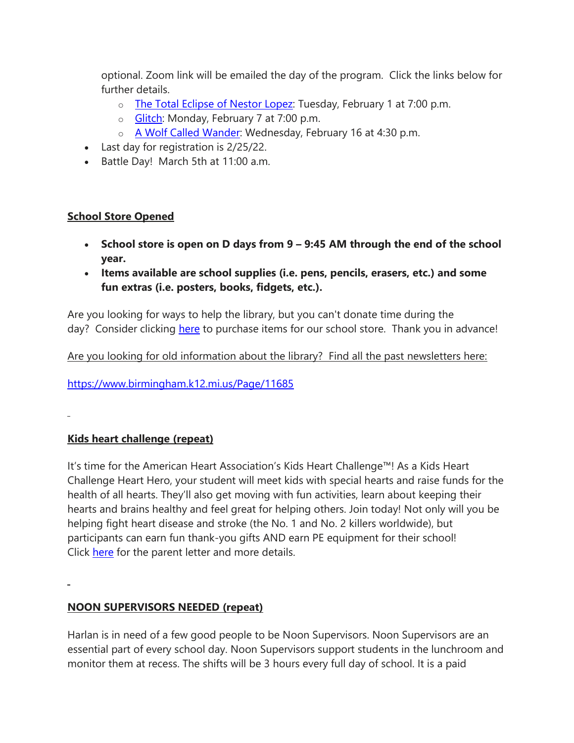optional. Zoom link will be emailed the day of the program. Click the links below for further details.

- o The Total [Eclipse](https://events.getlocalhop.com/battle-book-talk-the-total-eclipse-of-nestor-lopez/event/hmZEtOgSs9/) of Nestor Lopez: Tuesday, February 1 at 7:00 p.m.
- o [Glitch:](https://events.getlocalhop.com/battle-book-talk-glitch/event/1nD7cfKAZw/) Monday, February 7 at 7:00 p.m.
- o A Wolf Called [Wander:](https://events.getlocalhop.com/battle-book-talk-a-wolf-called-wander/event/aRqVFcTMdE/) Wednesday, February 16 at 4:30 p.m.
- Last day for registration is 2/25/22.
- Battle Day! March 5th at 11:00 a.m.

## **School Store Opened**

- **School store is open on D days from 9 – 9:45 AM through the end of the school year.**
- **Items available are school supplies (i.e. pens, pencils, erasers, etc.) and some fun extras (i.e. posters, books, fidgets, etc.).**

Are you looking for ways to help the library, but you can't donate time during the day? Consider clicking [here](https://www.amazon.com/hz/wishlist/ls/O373QSPCS8QW?ref_=wl_share) to purchase items for our school store. Thank you in advance!

Are you looking for old information about the library? Find all the past newsletters here:

<https://www.birmingham.k12.mi.us/Page/11685>

**Kids heart challenge (repeat)**

It's time for the American Heart Association's Kids Heart Challenge™! As a Kids Heart Challenge Heart Hero, your student will meet kids with special hearts and raise funds for the health of all hearts. They'll also get moving with fun activities, learn about keeping their hearts and brains healthy and feel great for helping others. Join today! Not only will you be helping fight heart disease and stroke (the No. 1 and No. 2 killers worldwide), but participants can earn fun thank-you gifts AND earn PE equipment for their school! Click [here](https://drive.google.com/file/d/1I0yU9vChgnfBRzFYbenkWffLudQoJvYy/view?usp=sharing) for the parent letter and more details.

## **NOON SUPERVISORS NEEDED (repeat)**

Harlan is in need of a few good people to be Noon Supervisors. Noon Supervisors are an essential part of every school day. Noon Supervisors support students in the lunchroom and monitor them at recess. The shifts will be 3 hours every full day of school. It is a paid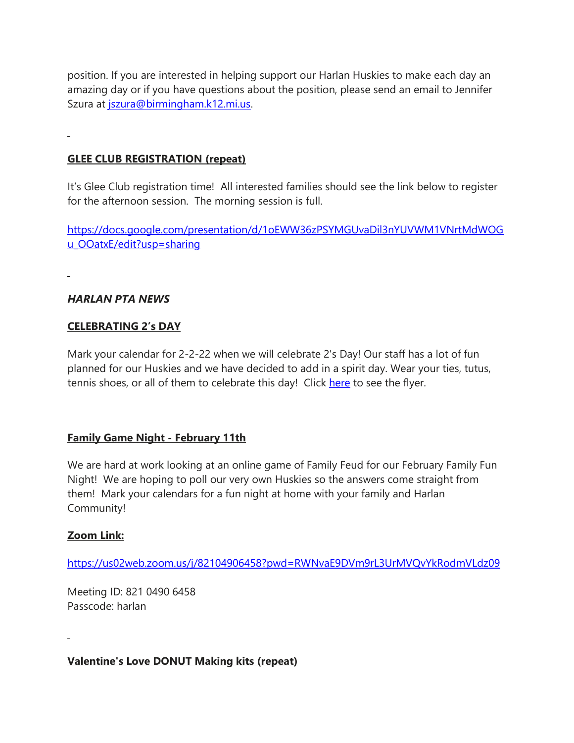position. If you are interested in helping support our Harlan Huskies to make each day an amazing day or if you have questions about the position, please send an email to Jennifer Szura at [jszura@birmingham.k12.mi.us.](mailto:jszura@birmingham.k12.mi.us)

#### **GLEE CLUB REGISTRATION (repeat)**

It's Glee Club registration time! All interested families should see the link below to register for the afternoon session. The morning session is full.

[https://docs.google.com/presentation/d/1oEWW36zPSYMGUvaDil3nYUVWM1VNrtMdWOG](https://docs.google.com/presentation/d/1oEWW36zPSYMGUvaDil3nYUVWM1VNrtMdWOGu_OOatxE/edit?usp=sharing) [u\\_OOatxE/edit?usp=sharing](https://docs.google.com/presentation/d/1oEWW36zPSYMGUvaDil3nYUVWM1VNrtMdWOGu_OOatxE/edit?usp=sharing)

#### *HARLAN PTA NEWS*

#### **CELEBRATING 2's DAY**

Mark your calendar for 2-2-22 when we will celebrate 2's Day! Our staff has a lot of fun planned for our Huskies and we have decided to add in a spirit day. Wear your ties, tutus, tennis shoes, or all of them to celebrate this day! Click [here](https://drive.google.com/file/d/1y90b-i6dj-gdYid92JydwCBA9IAXytZv/view?usp=sharing) to see the flyer.

#### **Family Game Night - February 11th**

We are hard at work looking at an online game of Family Feud for our February Family Fun Night! We are hoping to poll our very own Huskies so the answers come straight from them! Mark your calendars for a fun night at home with your family and Harlan Community!

#### **Zoom Link:**

<https://us02web.zoom.us/j/82104906458?pwd=RWNvaE9DVm9rL3UrMVQvYkRodmVLdz09>

Meeting ID: 821 0490 6458 Passcode: harlan

**Valentine's Love DONUT Making kits (repeat)**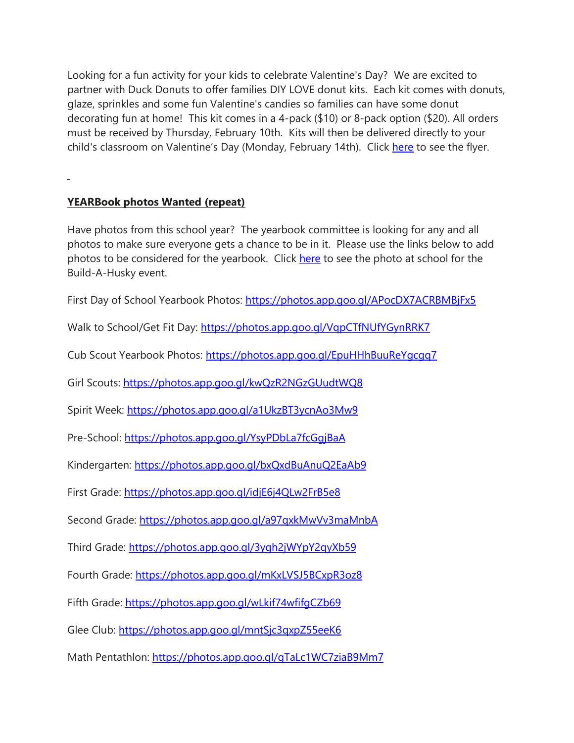Looking for a fun activity for your kids to celebrate Valentine's Day? We are excited to partner with Duck Donuts to offer families DIY LOVE donut kits. Each kit comes with donuts, glaze, sprinkles and some fun Valentine's candies so families can have some donut decorating fun at home! This kit comes in a 4-pack (\$10) or 8-pack option (\$20). All orders must be received by Thursday, February 10th. Kits will then be delivered directly to your child's classroom on Valentine's Day (Monday, February 14th). Click [here](https://drive.google.com/file/d/1_T_9bR4xvK3b7HSZlyNTNKKRqqbjV_lr/view?usp=sharing) to see the flyer.

### **YEARBook photos Wanted (repeat)**

Have photos from this school year? The yearbook committee is looking for any and all photos to make sure everyone gets a chance to be in it. Please use the links below to add photos to be considered for the yearbook. Click [here](https://drive.google.com/file/d/1Q3MPUw-VhUZMduFlxuaOaKGSDA3lq1db/view?usp=sharing) to see the photo at school for the Build-A-Husky event.

First Day of School Yearbook Photos: <https://photos.app.goo.gl/APocDX7ACRBMBjFx5>

Walk to School/Get Fit Day: <https://photos.app.goo.gl/VqpCTfNUfYGynRRK7>

Cub Scout Yearbook Photos: <https://photos.app.goo.gl/EpuHHhBuuReYgcgq7>

Girl Scouts: <https://photos.app.goo.gl/kwQzR2NGzGUudtWQ8>

Spirit Week: <https://photos.app.goo.gl/a1UkzBT3ycnAo3Mw9>

Pre-School: <https://photos.app.goo.gl/YsyPDbLa7fcGgjBaA>

Kindergarten: <https://photos.app.goo.gl/bxQxdBuAnuQ2EaAb9>

First Grade: <https://photos.app.goo.gl/idjE6j4QLw2FrB5e8>

Second Grade: <https://photos.app.goo.gl/a97qxkMwVv3maMnbA>

Third Grade: <https://photos.app.goo.gl/3ygh2jWYpY2qyXb59>

Fourth Grade: <https://photos.app.goo.gl/mKxLVSJ5BCxpR3oz8>

Fifth Grade: <https://photos.app.goo.gl/wLkif74wfifgCZb69>

Glee Club: <https://photos.app.goo.gl/mntSjc3qxpZ55eeK6>

Math Pentathlon: <https://photos.app.goo.gl/gTaLc1WC7ziaB9Mm7>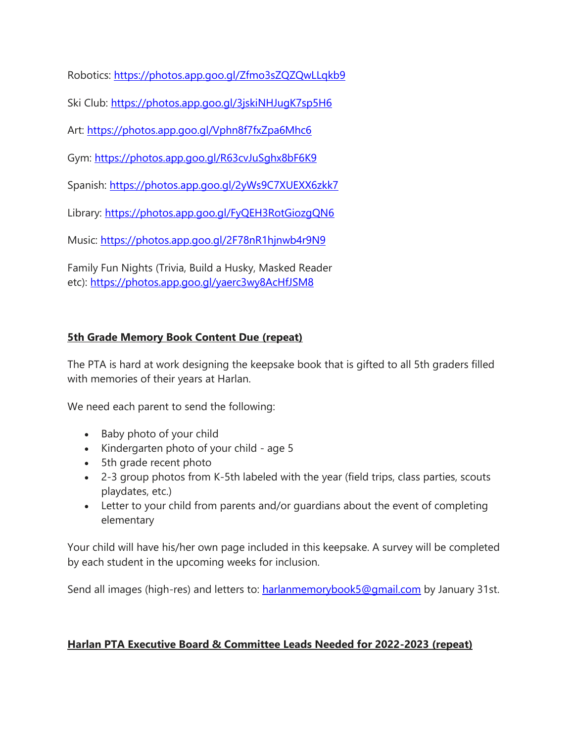Robotics: <https://photos.app.goo.gl/Zfmo3sZQZQwLLqkb9>

Ski Club: <https://photos.app.goo.gl/3jskiNHJugK7sp5H6>

Art: <https://photos.app.goo.gl/Vphn8f7fxZpa6Mhc6>

Gym: <https://photos.app.goo.gl/R63cvJuSghx8bF6K9>

Spanish: <https://photos.app.goo.gl/2yWs9C7XUEXX6zkk7>

Library: <https://photos.app.goo.gl/FyQEH3RotGiozgQN6>

Music: <https://photos.app.goo.gl/2F78nR1hjnwb4r9N9>

Family Fun Nights (Trivia, Build a Husky, Masked Reader etc): <https://photos.app.goo.gl/yaerc3wy8AcHfJSM8>

# **5th Grade Memory Book Content Due (repeat)**

The PTA is hard at work designing the keepsake book that is gifted to all 5th graders filled with memories of their years at Harlan.

We need each parent to send the following:

- Baby photo of your child
- Kindergarten photo of your child age 5
- 5th grade recent photo
- 2-3 group photos from K-5th labeled with the year (field trips, class parties, scouts playdates, etc.)
- Letter to your child from parents and/or guardians about the event of completing elementary

Your child will have his/her own page included in this keepsake. A survey will be completed by each student in the upcoming weeks for inclusion.

Send all images (high-res) and letters to: [harlanmemorybook5@gmail.com](mailto:harlanmemorybook5@gmail.com) by January 31st.

## **Harlan PTA Executive Board & Committee Leads Needed for 2022-2023 (repeat)**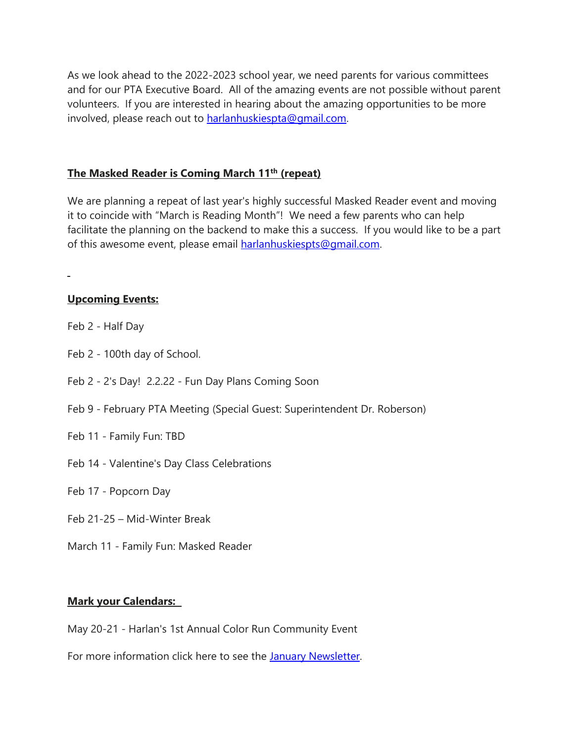As we look ahead to the 2022-2023 school year, we need parents for various committees and for our PTA Executive Board. All of the amazing events are not possible without parent volunteers. If you are interested in hearing about the amazing opportunities to be more involved, please reach out to [harlanhuskiespta@gmail.com.](mailto:harlanhuskiespta@gmail.com)

#### **The Masked Reader is Coming March 11th (repeat)**

We are planning a repeat of last year's highly successful Masked Reader event and moving it to coincide with "March is Reading Month"! We need a few parents who can help facilitate the planning on the backend to make this a success. If you would like to be a part of this awesome event, please email [harlanhuskiespts@gmail.com.](mailto:harlanhuskiespts@gmail.com)

**Upcoming Events:**

- Feb 2 Half Day
- Feb 2 100th day of School.
- Feb 2 2's Day! 2.2.22 Fun Day Plans Coming Soon
- Feb 9 February PTA Meeting (Special Guest: Superintendent Dr. Roberson)
- Feb 11 Family Fun: TBD
- Feb 14 Valentine's Day Class Celebrations

Feb 17 - Popcorn Day

- Feb 21-25 Mid-Winter Break
- March 11 Family Fun: Masked Reader

## **Mark your Calendars:**

May 20-21 - Harlan's 1st Annual Color Run Community Event

For more information click here to see the January [Newsletter.](https://drive.google.com/file/d/1jRsbb4fcJ0T6792c7yWHkafSWiyYasJ4/view?usp=sharing)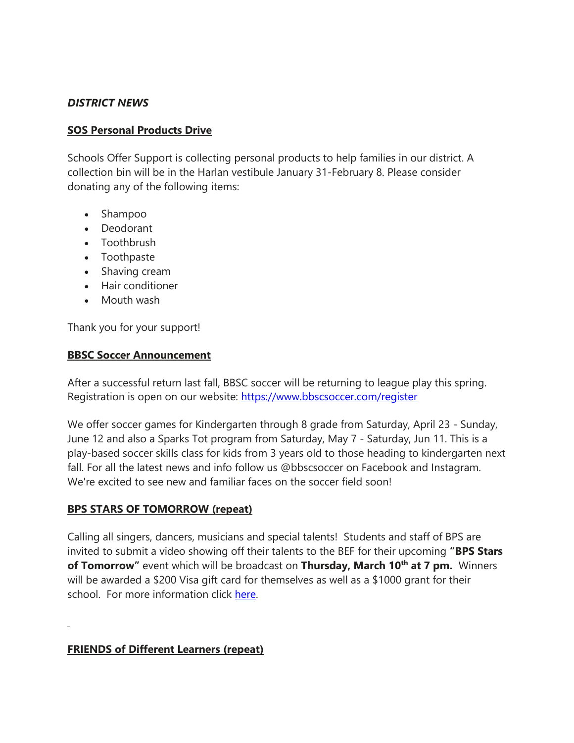### *DISTRICT NEWS*

#### **SOS Personal Products Drive**

Schools Offer Support is collecting personal products to help families in our district. A collection bin will be in the Harlan vestibule January 31-February 8. Please consider donating any of the following items:

- Shampoo
- Deodorant
- Toothbrush
- Toothpaste
- Shaving cream
- Hair conditioner
- Mouth wash

Thank you for your support!

#### **BBSC Soccer Announcement**

After a successful return last fall, BBSC soccer will be returning to league play this spring. Registration is open on our website: <https://www.bbscsoccer.com/register>

We offer soccer games for Kindergarten through 8 grade from Saturday, April 23 - Sunday, June 12 and also a Sparks Tot program from Saturday, May 7 - Saturday, Jun 11. This is a play-based soccer skills class for kids from 3 years old to those heading to kindergarten next fall. For all the latest news and info follow us @bbscsoccer on Facebook and Instagram. We're excited to see new and familiar faces on the soccer field soon!

#### **BPS STARS OF TOMORROW (repeat)**

Calling all singers, dancers, musicians and special talents! Students and staff of BPS are invited to submit a video showing off their talents to the BEF for their upcoming **"BPS Stars of Tomorrow"** event which will be broadcast on **Thursday, March 10th at 7 pm.** Winners will be awarded a \$200 Visa gift card for themselves as well as a \$1000 grant for their school. For more information click [here.](https://drive.google.com/file/d/190GgT_llvRXPPRxu8oVCRuDALZglXY7u/view?usp=sharing)

## **FRIENDS of Different Learners (repeat)**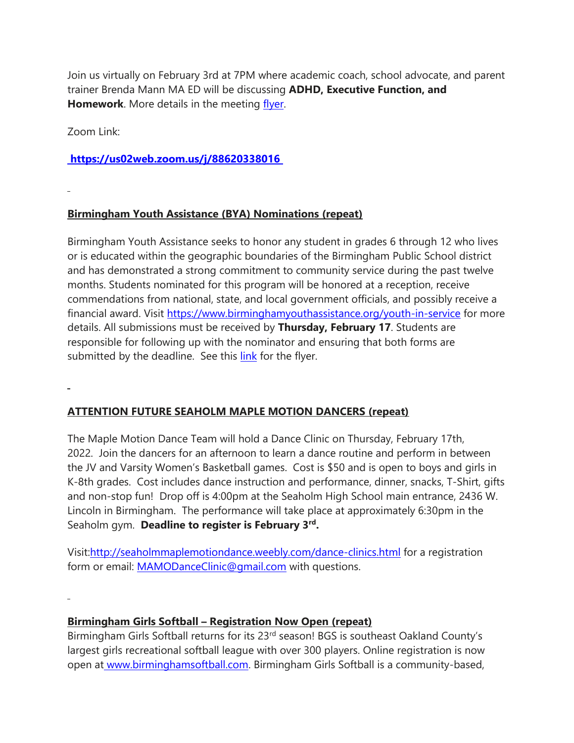Join us virtually on February 3rd at 7PM where academic coach, school advocate, and parent trainer Brenda Mann MA ED will be discussing **ADHD, Executive Function, and Homework**. More details in the meeting [flyer.](https://drive.google.com/file/d/1t3VPjWuAjBRjqD-BkWTc4bCSWLQlGp-u/view?usp=sharing)

Zoom Link:

## **<https://us02web.zoom.us/j/88620338016>**

# **Birmingham Youth Assistance (BYA) Nominations (repeat)**

Birmingham Youth Assistance seeks to honor any student in grades 6 through 12 who lives or is educated within the geographic boundaries of the Birmingham Public School district and has demonstrated a strong commitment to community service during the past twelve months. Students nominated for this program will be honored at a reception, receive commendations from national, state, and local government officials, and possibly receive a financial award. Visit <https://www.birminghamyouthassistance.org/youth-in-service> for more details. All submissions must be received by **Thursday, February 17**. Students are responsible for following up with the nominator and ensuring that both forms are submitted by the deadline. See this [link](https://drive.google.com/file/d/1pOGSmalP7uO09COWgsUOxyrjWCTBc76v/view?usp=sharing) for the flyer.

## **ATTENTION FUTURE SEAHOLM MAPLE MOTION DANCERS (repeat)**

The Maple Motion Dance Team will hold a Dance Clinic on Thursday, February 17th, 2022. Join the dancers for an afternoon to learn a dance routine and perform in between the JV and Varsity Women's Basketball games. Cost is \$50 and is open to boys and girls in K-8th grades. Cost includes dance instruction and performance, dinner, snacks, T-Shirt, gifts and non-stop fun! Drop off is 4:00pm at the Seaholm High School main entrance, 2436 W. Lincoln in Birmingham. The performance will take place at approximately 6:30pm in the Seaholm gym. **Deadline to register is February 3rd .**

Visit[:http://seaholmmaplemotiondance.weebly.com/dance-clinics.html](http://seaholmmaplemotiondance.weebly.com/dance-clinics.html) for a registration form or email: [MAMODanceClinic@gmail.com](mailto:MAMODanceClinic@gmail.com) with questions.

## **Birmingham Girls Softball – Registration Now Open (repeat)**

Birmingham Girls Softball returns for its 23<sup>rd</sup> season! BGS is southeast Oakland County's largest girls recreational softball league with over 300 players. Online registration is now open at [www.birminghamsoftball.com.](http://www.birminghamsoftball.com/) Birmingham Girls Softball is a community-based,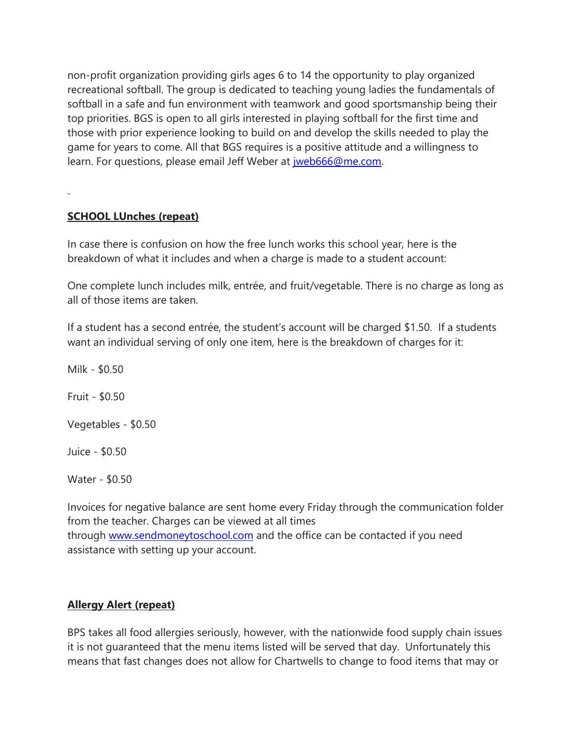non-profit organization providing girls ages 6 to 14 the opportunity to play organized recreational softball. The group is dedicated to teaching young ladies the fundamentals of softball in a safe and fun environment with teamwork and good sportsmanship being their top priorities. BGS is open to all girls interested in playing softball for the first time and those with prior experience looking to build on and develop the skills needed to play the game for years to come. All that BGS requires is a positive attitude and a willingness to learn. For questions, please email Jeff Weber at [jweb666@me.com.](mailto:jweb666@me.com)

#### **SCHOOL LUnches (repeat)**

In case there is confusion on how the free lunch works this school year, here is the breakdown of what it includes and when a charge is made to a student account:

One complete lunch includes milk, entrée, and fruit/vegetable. There is no charge as long as all of those items are taken.

If a student has a second entrée, the student's account will be charged \$1.50. If a students want an individual serving of only one item, here is the breakdown of charges for it:

Milk - \$0.50 Fruit - \$0.50 Vegetables - \$0.50 Juice - \$0.50

Water - \$0.50

Invoices for negative balance are sent home every Friday through the communication folder from the teacher. Charges can be viewed at all times through [www.sendmoneytoschool.com](http://www.sendmoneytoschool.com/) and the office can be contacted if you need assistance with setting up your account.

## **Allergy Alert (repeat)**

BPS takes all food allergies seriously, however, with the nationwide food supply chain issues it is not guaranteed that the menu items listed will be served that day. Unfortunately this means that fast changes does not allow for Chartwells to change to food items that may or